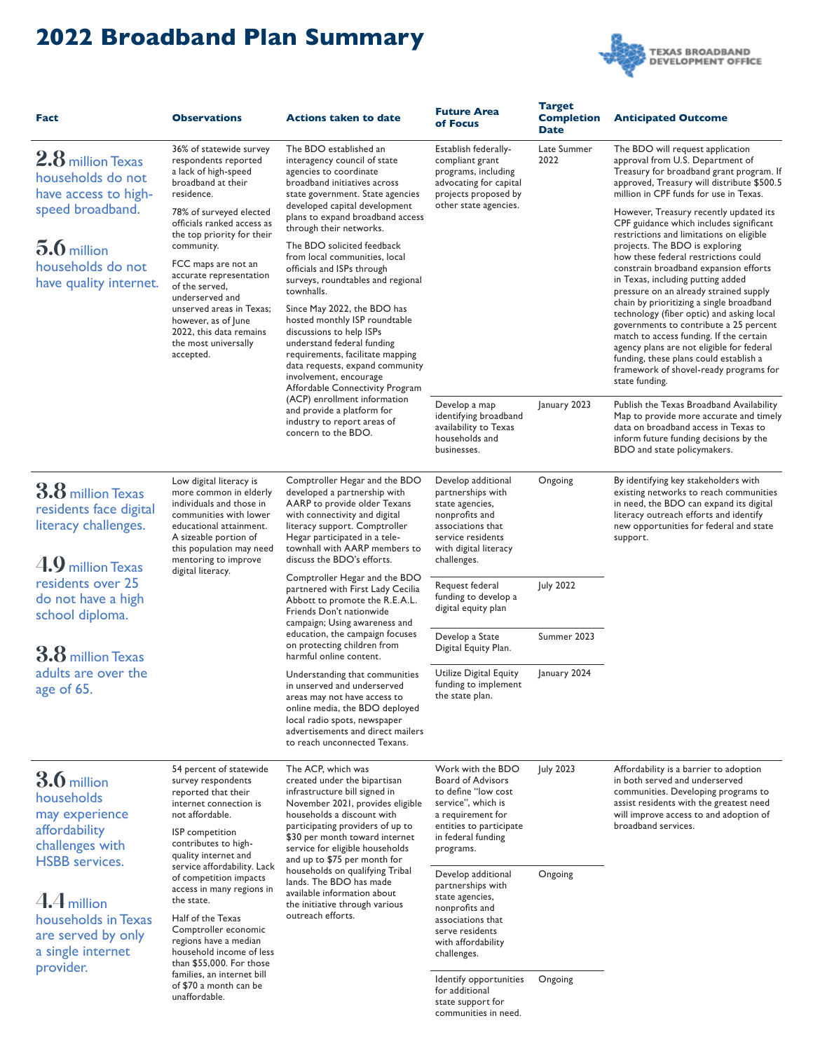## **2022 Broadband Plan Summary**



| Fact                                                                                                                                                 | <b>Observations</b>                                                                                                                                                                                                                                                                                                                                                                                                                                                                             | <b>Actions taken to date</b>                                                                                                                                                                                                                                                                                                                                                                                                                                                                                                                                                                                                                                                                                                                                                           | <b>Future Area</b><br>of Focus                                                                                                                                                                                                                | <b>Target</b><br><b>Completion</b><br><b>Date</b> | <b>Anticipated Outcome</b>                                                                                                                                                                                                                                                                                                                                                                                                                                                                                                                                                                                                                                                                                                                                                                                                                                                                                                                                                                                                                                                           |
|------------------------------------------------------------------------------------------------------------------------------------------------------|-------------------------------------------------------------------------------------------------------------------------------------------------------------------------------------------------------------------------------------------------------------------------------------------------------------------------------------------------------------------------------------------------------------------------------------------------------------------------------------------------|----------------------------------------------------------------------------------------------------------------------------------------------------------------------------------------------------------------------------------------------------------------------------------------------------------------------------------------------------------------------------------------------------------------------------------------------------------------------------------------------------------------------------------------------------------------------------------------------------------------------------------------------------------------------------------------------------------------------------------------------------------------------------------------|-----------------------------------------------------------------------------------------------------------------------------------------------------------------------------------------------------------------------------------------------|---------------------------------------------------|--------------------------------------------------------------------------------------------------------------------------------------------------------------------------------------------------------------------------------------------------------------------------------------------------------------------------------------------------------------------------------------------------------------------------------------------------------------------------------------------------------------------------------------------------------------------------------------------------------------------------------------------------------------------------------------------------------------------------------------------------------------------------------------------------------------------------------------------------------------------------------------------------------------------------------------------------------------------------------------------------------------------------------------------------------------------------------------|
| $2.8$ million Texas<br>households do not<br>have access to high-<br>speed broadband.<br>$5.6$ million<br>households do not<br>have quality internet. | 36% of statewide survey<br>respondents reported<br>a lack of high-speed<br>broadband at their<br>residence.<br>78% of surveyed elected<br>officials ranked access as<br>the top priority for their<br>community.<br>FCC maps are not an<br>accurate representation<br>of the served,<br>underserved and<br>unserved areas in Texas;<br>however, as of June<br>2022, this data remains<br>the most universally<br>accepted.                                                                      | The BDO established an<br>interagency council of state<br>agencies to coordinate<br>broadband initiatives across<br>state government. State agencies<br>developed capital development<br>plans to expand broadband access<br>through their networks.<br>The BDO solicited feedback<br>from local communities, local<br>officials and ISPs through<br>surveys, roundtables and regional<br>townhalls.<br>Since May 2022, the BDO has<br>hosted monthly ISP roundtable<br>discussions to help ISPs<br>understand federal funding<br>requirements, facilitate mapping<br>data requests, expand community<br>involvement, encourage<br>Affordable Connectivity Program<br>(ACP) enrollment information<br>and provide a platform for<br>industry to report areas of<br>concern to the BDO. | Establish federally-<br>compliant grant<br>programs, including<br>advocating for capital<br>projects proposed by<br>other state agencies.<br>Develop a map<br>identifying broadband<br>availability to Texas<br>households and<br>businesses. | Late Summer<br>2022<br>January 2023               | The BDO will request application<br>approval from U.S. Department of<br>Treasury for broadband grant program. If<br>approved, Treasury will distribute \$500.5<br>million in CPF funds for use in Texas.<br>However, Treasury recently updated its<br>CPF guidance which includes significant<br>restrictions and limitations on eligible<br>projects. The BDO is exploring<br>how these federal restrictions could<br>constrain broadband expansion efforts<br>in Texas, including putting added<br>pressure on an already strained supply<br>chain by prioritizing a single broadband<br>technology (fiber optic) and asking local<br>governments to contribute a 25 percent<br>match to access funding. If the certain<br>agency plans are not eligible for federal<br>funding, these plans could establish a<br>framework of shovel-ready programs for<br>state funding.<br>Publish the Texas Broadband Availability<br>Map to provide more accurate and timely<br>data on broadband access in Texas to<br>inform future funding decisions by the<br>BDO and state policymakers. |
| $3.8$ million Texas<br>residents face digital<br>literacy challenges.<br>$4.9$ million Texas                                                         | Low digital literacy is<br>more common in elderly<br>individuals and those in<br>communities with lower<br>educational attainment.<br>A sizeable portion of<br>this population may need<br>mentoring to improve<br>digital literacy.                                                                                                                                                                                                                                                            | Comptroller Hegar and the BDO<br>developed a partnership with<br>AARP to provide older Texans<br>with connectivity and digital<br>literacy support. Comptroller<br>Hegar participated in a tele-<br>townhall with AARP members to<br>discuss the BDO's efforts.<br>Comptroller Hegar and the BDO<br>partnered with First Lady Cecilia<br>Abbott to promote the R.E.A.L.<br>Friends Don't nationwide<br>campaign; Using awareness and<br>education, the campaign focuses<br>on protecting children from<br>harmful online content.<br>Understanding that communities<br>in unserved and underserved<br>areas may not have access to<br>online media, the BDO deployed<br>local radio spots, newspaper<br>advertisements and direct mailers<br>to reach unconnected Texans.              | Develop additional<br>partnerships with<br>state agencies,<br>nonprofits and<br>associations that<br>service residents<br>with digital literacy<br>challenges.                                                                                | Ongoing                                           | By identifying key stakeholders with<br>existing networks to reach communities<br>in need, the BDO can expand its digital<br>literacy outreach efforts and identify<br>new opportunities for federal and state<br>support.                                                                                                                                                                                                                                                                                                                                                                                                                                                                                                                                                                                                                                                                                                                                                                                                                                                           |
| residents over 25<br>do not have a high<br>school diploma.                                                                                           |                                                                                                                                                                                                                                                                                                                                                                                                                                                                                                 |                                                                                                                                                                                                                                                                                                                                                                                                                                                                                                                                                                                                                                                                                                                                                                                        | Request federal<br>funding to develop a<br>digital equity plan                                                                                                                                                                                | <b>July 2022</b>                                  |                                                                                                                                                                                                                                                                                                                                                                                                                                                                                                                                                                                                                                                                                                                                                                                                                                                                                                                                                                                                                                                                                      |
| <b>3.8</b> million Texas<br>adults are over the<br>age of 65.                                                                                        |                                                                                                                                                                                                                                                                                                                                                                                                                                                                                                 |                                                                                                                                                                                                                                                                                                                                                                                                                                                                                                                                                                                                                                                                                                                                                                                        | Develop a State<br>Digital Equity Plan.                                                                                                                                                                                                       | Summer 2023                                       |                                                                                                                                                                                                                                                                                                                                                                                                                                                                                                                                                                                                                                                                                                                                                                                                                                                                                                                                                                                                                                                                                      |
|                                                                                                                                                      |                                                                                                                                                                                                                                                                                                                                                                                                                                                                                                 |                                                                                                                                                                                                                                                                                                                                                                                                                                                                                                                                                                                                                                                                                                                                                                                        | Utilize Digital Equity<br>funding to implement<br>the state plan.                                                                                                                                                                             | January 2024                                      |                                                                                                                                                                                                                                                                                                                                                                                                                                                                                                                                                                                                                                                                                                                                                                                                                                                                                                                                                                                                                                                                                      |
| $3.6$ million<br>households<br>may experience<br>affordability<br>challenges with<br><b>HSBB</b> services.                                           | 54 percent of statewide<br>survey respondents<br>reported that their<br>internet connection is<br>not affordable.<br>ISP competition<br>contributes to high-<br>quality internet and<br>service affordability. Lack<br>of competition impacts<br>access in many regions in<br>the state.<br>Half of the Texas<br>Comptroller economic<br>regions have a median<br>household income of less<br>than \$55,000. For those<br>families, an internet bill<br>of \$70 a month can be<br>unaffordable. | The ACP, which was<br>created under the bipartisan<br>infrastructure bill signed in<br>November 2021, provides eligible<br>households a discount with<br>participating providers of up to<br>\$30 per month toward internet<br>service for eligible households<br>and up to \$75 per month for<br>households on qualifying Tribal<br>lands. The BDO has made<br>available information about<br>the initiative through various<br>outreach efforts.                                                                                                                                                                                                                                                                                                                                     | Work with the BDO<br><b>Board of Advisors</b><br>to define "low cost<br>service", which is<br>a requirement for<br>entities to participate<br>in federal funding<br>programs.                                                                 | July 2023                                         | Affordability is a barrier to adoption<br>in both served and underserved<br>communities. Developing programs to<br>assist residents with the greatest need<br>will improve access to and adoption of<br>broadband services.                                                                                                                                                                                                                                                                                                                                                                                                                                                                                                                                                                                                                                                                                                                                                                                                                                                          |
| $4.4$ million<br>households in Texas<br>are served by only<br>a single internet<br>provider.                                                         |                                                                                                                                                                                                                                                                                                                                                                                                                                                                                                 |                                                                                                                                                                                                                                                                                                                                                                                                                                                                                                                                                                                                                                                                                                                                                                                        | Develop additional<br>partnerships with<br>state agencies,<br>nonprofits and<br>associations that<br>serve residents<br>with affordability<br>challenges.                                                                                     | Ongoing                                           |                                                                                                                                                                                                                                                                                                                                                                                                                                                                                                                                                                                                                                                                                                                                                                                                                                                                                                                                                                                                                                                                                      |
|                                                                                                                                                      |                                                                                                                                                                                                                                                                                                                                                                                                                                                                                                 |                                                                                                                                                                                                                                                                                                                                                                                                                                                                                                                                                                                                                                                                                                                                                                                        | Identify opportunities<br>for additional<br>state support for<br>communities in need.                                                                                                                                                         | Ongoing                                           |                                                                                                                                                                                                                                                                                                                                                                                                                                                                                                                                                                                                                                                                                                                                                                                                                                                                                                                                                                                                                                                                                      |